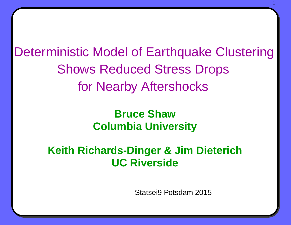Deterministic Model of Earthquake Clustering Shows Reduced Stress Drops for Nearby Aftershocks

# **Bruce Shaw Columbia University**

## **Keith Richards-Dinger & Jim Dieterich UC Riverside**

Statsei9 Potsdam 2015

1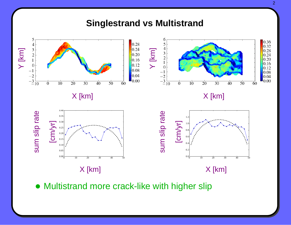

• Multistrand more crack-like with higher slip

2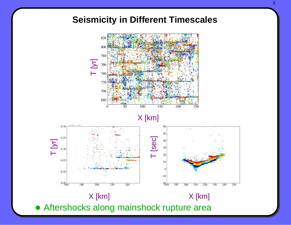### **Seismicity in Different Timescales**



#### X [km]



• Aftershocks along mainshock rupture area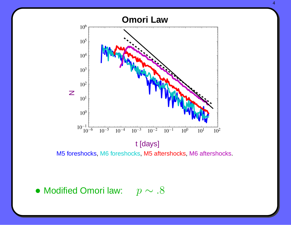

M5 foreshocks, M6 foreshocks, M5 aftershocks, M6 aftershocks.

 $\bullet$  Modified Omori law:  $p \sim .8$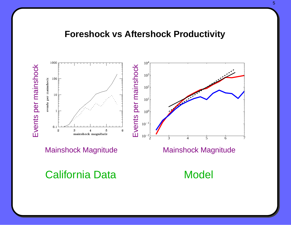#### **Foreshock vs Aftershock Productivity**



Mainshock Magnitude Mainshock Magnitude

California Data Model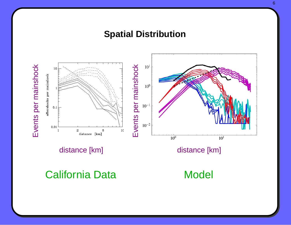### **Spatial Distribution**



distance [km] distance [km]

California Data Model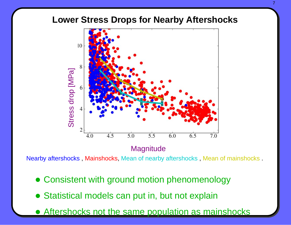#### **Lower Stress Drops for Nearby Aftershocks**



**Magnitude** 

Nearby aftershocks , Mainshocks, Mean of nearby aftershocks , Mean of mainshocks .

- Consistent with ground motion phenomenology
- Statistical models can put in, but not explain
- Aftershocks not the same population as mainshocks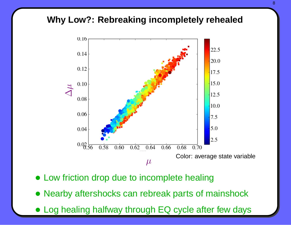### **Why Low?: Rebreaking incompletely rehealed**



- Low friction drop due to incomplete healing
- Nearby aftershocks can rebreak parts of mainshock
- Log healing halfway through EQ cycle after few days